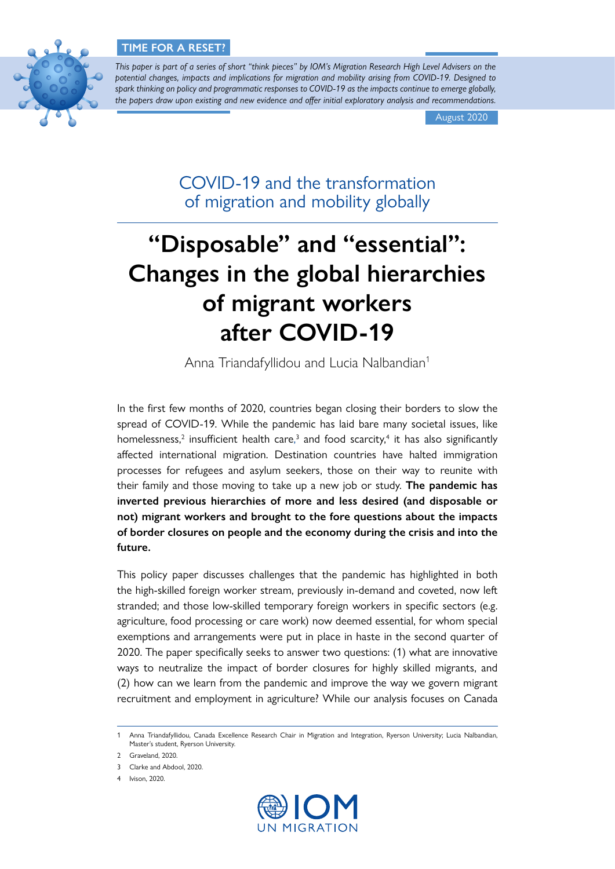

*This paper is part of a series of short "think pieces" by IOM's Migration Research High Level Advisers on the potential changes, impacts and implications for migration and mobility arising from COVID-19. Designed to spark thinking on policy and programmatic responses to COVID-19 as the impacts continue to emerge globally, the papers draw upon existing and new evidence and offer initial exploratory analysis and recommendations.*

August 2020

COVID-19 and the transformation of migration and mobility globally

# **"Disposable" and "essential": Changes in the global hierarchies of migrant workers after COVID-19**

Anna Triandafyllidou and Lucia Nalbandian<sup>1</sup>

In the first few months of 2020, countries began closing their borders to slow the spread of COVID-19. While the pandemic has laid bare many societal issues, like homelessness,<sup>2</sup> insufficient health care,<sup>3</sup> and food scarcity,<sup>4</sup> it has also significantly affected international migration. Destination countries have halted immigration processes for refugees and asylum seekers, those on their way to reunite with their family and those moving to take up a new job or study. **The pandemic has inverted previous hierarchies of more and less desired (and disposable or not) migrant workers and brought to the fore questions about the impacts of border closures on people and the economy during the crisis and into the future.** 

This policy paper discusses challenges that the pandemic has highlighted in both the high-skilled foreign worker stream, previously in-demand and coveted, now left stranded; and those low-skilled temporary foreign workers in specific sectors (e.g. agriculture, food processing or care work) now deemed essential, for whom special exemptions and arrangements were put in place in haste in the second quarter of 2020. The paper specifically seeks to answer two questions: (1) what are innovative ways to neutralize the impact of border closures for highly skilled migrants, and (2) how can we learn from the pandemic and improve the way we govern migrant recruitment and employment in agriculture? While our analysis focuses on Canada



<sup>1</sup> Anna Triandafyllidou, Canada Excellence Research Chair in Migration and Integration, Ryerson University; Lucia Nalbandian, Master's student, Ryerson University.

<sup>2</sup> Graveland, 2020.

<sup>3</sup> Clarke and Abdool, 2020.

<sup>4</sup> Ivison, 2020.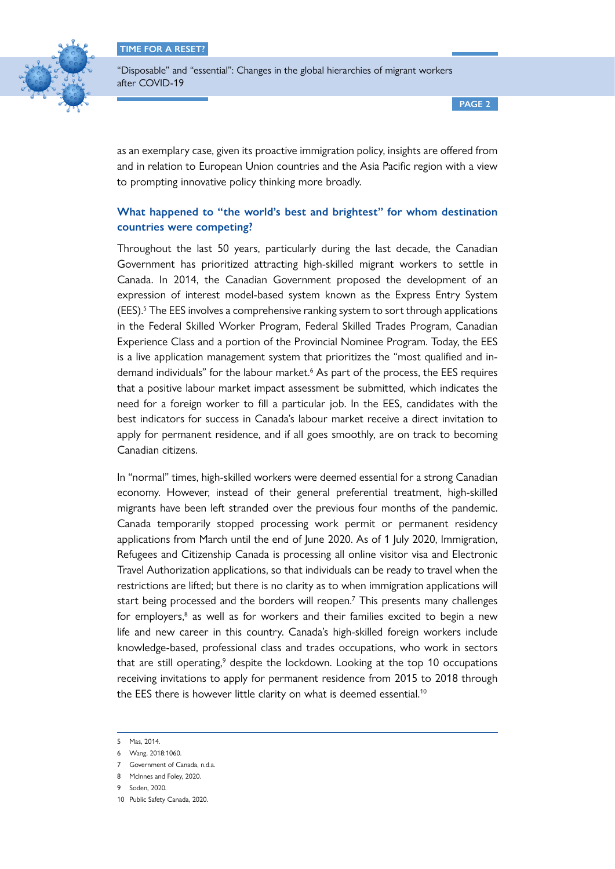

"Disposable" and "essential": Changes in the global hierarchies of migrant workers after COVID-19

**PAGE 2**

as an exemplary case, given its proactive immigration policy, insights are offered from and in relation to European Union countries and the Asia Pacific region with a view to prompting innovative policy thinking more broadly.

# **What happened to "the world's best and brightest" for whom destination countries were competing?**

Throughout the last 50 years, particularly during the last decade, the Canadian Government has prioritized attracting high-skilled migrant workers to settle in Canada. In 2014, the Canadian Government proposed the development of an expression of interest model-based system known as the Express Entry System (EES).<sup>5</sup> The EES involves a comprehensive ranking system to sort through applications in the Federal Skilled Worker Program, Federal Skilled Trades Program, Canadian Experience Class and a portion of the Provincial Nominee Program. Today, the EES is a live application management system that prioritizes the "most qualified and indemand individuals" for the labour market.<sup>6</sup> As part of the process, the EES requires that a positive labour market impact assessment be submitted, which indicates the need for a foreign worker to fill a particular job. In the EES, candidates with the best indicators for success in Canada's labour market receive a direct invitation to apply for permanent residence, and if all goes smoothly, are on track to becoming Canadian citizens.

In "normal" times, high-skilled workers were deemed essential for a strong Canadian economy. However, instead of their general preferential treatment, high-skilled migrants have been left stranded over the previous four months of the pandemic. Canada temporarily stopped processing work permit or permanent residency applications from March until the end of June 2020. As of 1 July 2020, Immigration, Refugees and Citizenship Canada is processing all online visitor visa and Electronic Travel Authorization applications, so that individuals can be ready to travel when the restrictions are lifted; but there is no clarity as to when immigration applications will start being processed and the borders will reopen.<sup>7</sup> This presents many challenges for employers,<sup>8</sup> as well as for workers and their families excited to begin a new life and new career in this country. Canada's high-skilled foreign workers include knowledge-based, professional class and trades occupations, who work in sectors that are still operating, $9$  despite the lockdown. Looking at the top 10 occupations receiving invitations to apply for permanent residence from 2015 to 2018 through the EES there is however little clarity on what is deemed essential.<sup>10</sup>

8 McInnes and Foley, 2020.

<sup>5</sup> Mas, 2014.

<sup>6</sup> Wang, 2018:1060.

<sup>7</sup> Government of Canada, n.d.a.

<sup>9</sup> Soden, 2020.

<sup>10</sup> Public Safety Canada, 2020.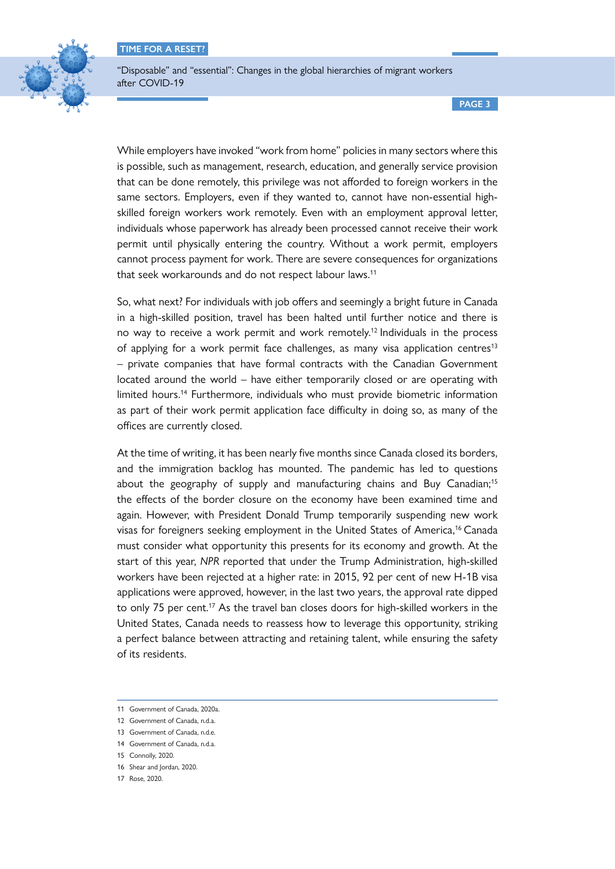

"Disposable" and "essential": Changes in the global hierarchies of migrant workers after COVID-19

**PAGE 3**

While employers have invoked "work from home" policies in many sectors where this is possible, such as management, research, education, and generally service provision that can be done remotely, this privilege was not afforded to foreign workers in the same sectors. Employers, even if they wanted to, cannot have non-essential highskilled foreign workers work remotely. Even with an employment approval letter, individuals whose paperwork has already been processed cannot receive their work permit until physically entering the country. Without a work permit, employers cannot process payment for work. There are severe consequences for organizations that seek workarounds and do not respect labour laws.<sup>11</sup>

So, what next? For individuals with job offers and seemingly a bright future in Canada in a high-skilled position, travel has been halted until further notice and there is no way to receive a work permit and work remotely.<sup>12</sup> Individuals in the process of applying for a work permit face challenges, as many visa application centres<sup>13</sup> – private companies that have formal contracts with the Canadian Government located around the world – have either temporarily closed or are operating with limited hours.14 Furthermore, individuals who must provide biometric information as part of their work permit application face difficulty in doing so, as many of the offices are currently closed.

At the time of writing, it has been nearly five months since Canada closed its borders, and the immigration backlog has mounted. The pandemic has led to questions about the geography of supply and manufacturing chains and Buy Canadian;15 the effects of the border closure on the economy have been examined time and again. However, with President Donald Trump temporarily suspending new work visas for foreigners seeking employment in the United States of America,<sup>16</sup> Canada must consider what opportunity this presents for its economy and growth. At the start of this year, *NPR* reported that under the Trump Administration, high-skilled workers have been rejected at a higher rate: in 2015, 92 per cent of new H-1B visa applications were approved, however, in the last two years, the approval rate dipped to only 75 per cent.<sup>17</sup> As the travel ban closes doors for high-skilled workers in the United States, Canada needs to reassess how to leverage this opportunity, striking a perfect balance between attracting and retaining talent, while ensuring the safety of its residents.

<sup>11</sup> Government of Canada, 2020a.

<sup>12</sup> Government of Canada, n.d.a.

<sup>13</sup> Government of Canada, n.d.e.

<sup>14</sup> Government of Canada, n.d.a.

<sup>15</sup> Connolly, 2020.

<sup>16</sup> Shear and Jordan, 2020.

<sup>17</sup> Rose, 2020.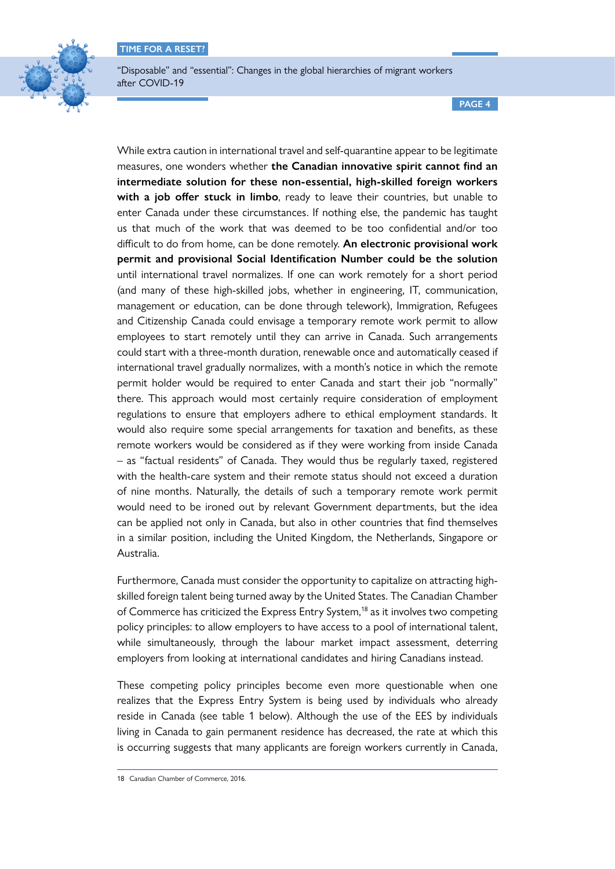

**PAGE 4**

While extra caution in international travel and self-quarantine appear to be legitimate measures, one wonders whether **the Canadian innovative spirit cannot find an intermediate solution for these non-essential, high-skilled foreign workers with a job offer stuck in limbo**, ready to leave their countries, but unable to enter Canada under these circumstances. If nothing else, the pandemic has taught us that much of the work that was deemed to be too confidential and/or too difficult to do from home, can be done remotely. **An electronic provisional work permit and provisional Social Identification Number could be the solution** until international travel normalizes. If one can work remotely for a short period (and many of these high-skilled jobs, whether in engineering, IT, communication, management or education, can be done through telework), Immigration, Refugees and Citizenship Canada could envisage a temporary remote work permit to allow employees to start remotely until they can arrive in Canada. Such arrangements could start with a three-month duration, renewable once and automatically ceased if international travel gradually normalizes, with a month's notice in which the remote permit holder would be required to enter Canada and start their job "normally" there. This approach would most certainly require consideration of employment regulations to ensure that employers adhere to ethical employment standards. It would also require some special arrangements for taxation and benefits, as these remote workers would be considered as if they were working from inside Canada – as "factual residents" of Canada. They would thus be regularly taxed, registered with the health-care system and their remote status should not exceed a duration of nine months. Naturally, the details of such a temporary remote work permit would need to be ironed out by relevant Government departments, but the idea can be applied not only in Canada, but also in other countries that find themselves in a similar position, including the United Kingdom, the Netherlands, Singapore or Australia.

Furthermore, Canada must consider the opportunity to capitalize on attracting highskilled foreign talent being turned away by the United States. The Canadian Chamber of Commerce has criticized the Express Entry System,<sup>18</sup> as it involves two competing policy principles: to allow employers to have access to a pool of international talent, while simultaneously, through the labour market impact assessment, deterring employers from looking at international candidates and hiring Canadians instead.

These competing policy principles become even more questionable when one realizes that the Express Entry System is being used by individuals who already reside in Canada (see table 1 below). Although the use of the EES by individuals living in Canada to gain permanent residence has decreased, the rate at which this is occurring suggests that many applicants are foreign workers currently in Canada,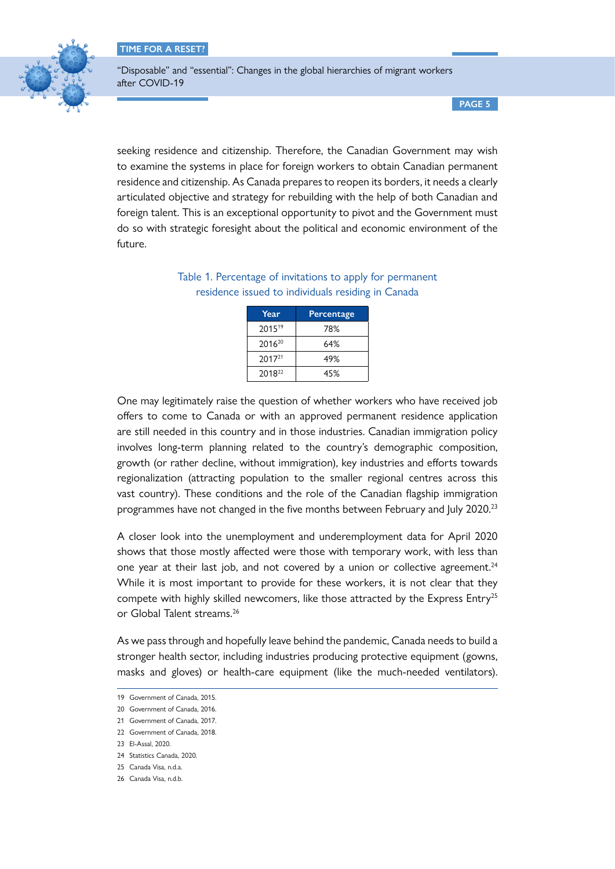

"Disposable" and "essential": Changes in the global hierarchies of migrant workers after COVID-19

**PAGE 5**

seeking residence and citizenship. Therefore, the Canadian Government may wish to examine the systems in place for foreign workers to obtain Canadian permanent residence and citizenship. As Canada prepares to reopen its borders, it needs a clearly articulated objective and strategy for rebuilding with the help of both Canadian and foreign talent. This is an exceptional opportunity to pivot and the Government must do so with strategic foresight about the political and economic environment of the future.

| Year               | <b>Percentage</b> |
|--------------------|-------------------|
| 201519             | 78%               |
| 2016 <sup>20</sup> | 64%               |
| 2017 <sup>21</sup> | 49%               |
| 201822             | 45%               |

Table 1. Percentage of invitations to apply for permanent residence issued to individuals residing in Canada

One may legitimately raise the question of whether workers who have received job offers to come to Canada or with an approved permanent residence application are still needed in this country and in those industries. Canadian immigration policy involves long-term planning related to the country's demographic composition, growth (or rather decline, without immigration), key industries and efforts towards regionalization (attracting population to the smaller regional centres across this vast country). These conditions and the role of the Canadian flagship immigration programmes have not changed in the five months between February and July 2020.<sup>23</sup>

A closer look into the unemployment and underemployment data for April 2020 shows that those mostly affected were those with temporary work, with less than one year at their last job, and not covered by a union or collective agreement.<sup>24</sup> While it is most important to provide for these workers, it is not clear that they compete with highly skilled newcomers, like those attracted by the Express Entry<sup>25</sup> or Global Talent streams.<sup>26</sup>

As we pass through and hopefully leave behind the pandemic, Canada needs to build a stronger health sector, including industries producing protective equipment (gowns, masks and gloves) or health-care equipment (like the much-needed ventilators).

<sup>19</sup> Government of Canada, 2015.

<sup>20</sup> Government of Canada, 2016.

<sup>21</sup> Government of Canada, 2017.

<sup>22</sup> Government of Canada, 2018.

<sup>23</sup> El-Assal, 2020.

<sup>24</sup> Statistics Canada, 2020.

<sup>25</sup> Canada Visa, n.d.a.

<sup>26</sup> Canada Visa, n.d.b.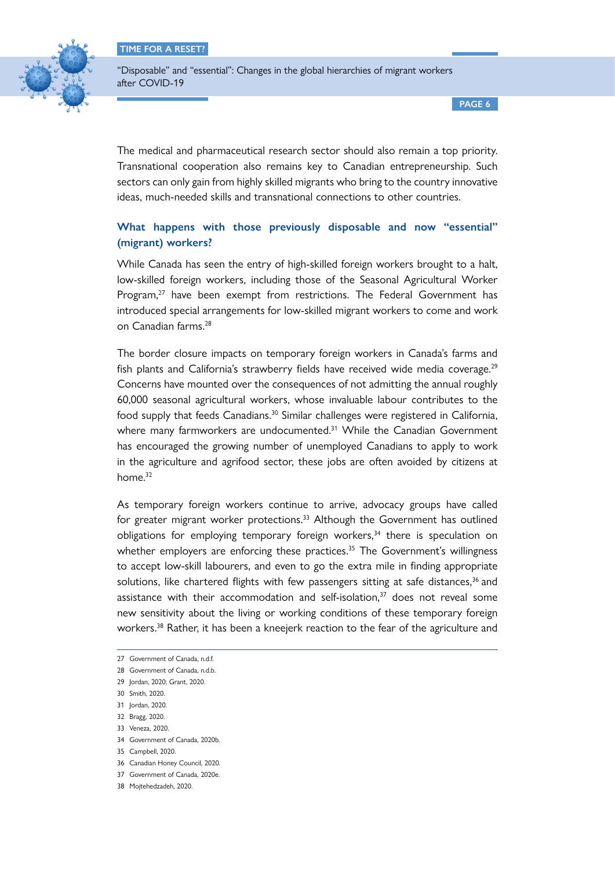

"Disposable" and "essential": Changes in the global hierarchies of migrant workers after COVID-19

**PAGE 6**

The medical and pharmaceutical research sector should also remain a top priority. Transnational cooperation also remains key to Canadian entrepreneurship. Such sectors can only gain from highly skilled migrants who bring to the country innovative ideas, much-needed skills and transnational connections to other countries.

# **What happens with those previously disposable and now "essential" (migrant) workers?**

While Canada has seen the entry of high-skilled foreign workers brought to a halt, low-skilled foreign workers, including those of the Seasonal Agricultural Worker Program,<sup>27</sup> have been exempt from restrictions. The Federal Government has introduced special arrangements for low-skilled migrant workers to come and work on Canadian farms.28

The border closure impacts on temporary foreign workers in Canada's farms and fish plants and California's strawberry fields have received wide media coverage.<sup>29</sup> Concerns have mounted over the consequences of not admitting the annual roughly 60,000 seasonal agricultural workers, whose invaluable labour contributes to the food supply that feeds Canadians.<sup>30</sup> Similar challenges were registered in California, where many farmworkers are undocumented.<sup>31</sup> While the Canadian Government has encouraged the growing number of unemployed Canadians to apply to work in the agriculture and agrifood sector, these jobs are often avoided by citizens at home. 32

As temporary foreign workers continue to arrive, advocacy groups have called for greater migrant worker protections. 33 Although the Government has outlined obligations for employing temporary foreign workers,<sup>34</sup> there is speculation on whether employers are enforcing these practices.<sup>35</sup> The Government's willingness to accept low-skill labourers, and even to go the extra mile in finding appropriate solutions, like chartered flights with few passengers sitting at safe distances,<sup>36</sup> and assistance with their accommodation and self-isolation, 37 does not reveal some new sensitivity about the living or working conditions of these temporary foreign workers. 38 Rather, it has been a kneejerk reaction to the fear of the agriculture and

30 Smith, 2020.

- 34 Government of Canada, 2020b.
- 35 Campbell, 2020.
- 36 Canadian Honey Council, 2020.

<sup>27</sup> Government of Canada, n.d.f.

<sup>28</sup> Government of Canada, n.d.b.

<sup>29</sup> Jordan, 2020; Grant, 2020.

<sup>31</sup> Jordan, 2020.

<sup>32</sup> Bragg, 2020.

<sup>33</sup> Veneza, 2020.

<sup>37</sup> Government of Canada, 2020e.

<sup>38</sup> Mojtehedzadeh, 2020.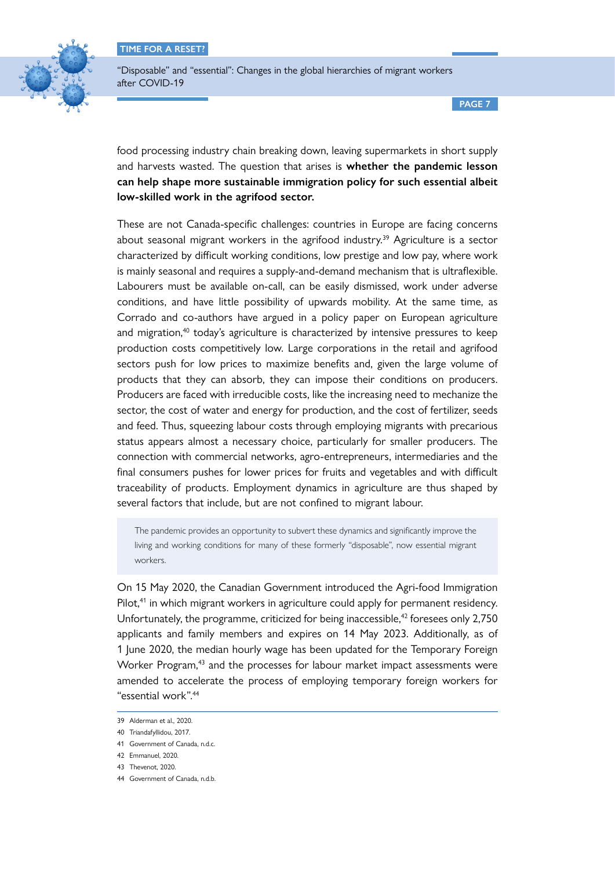

"Disposable" and "essential": Changes in the global hierarchies of migrant workers after COVID-19

**PAGE 7**

food processing industry chain breaking down, leaving supermarkets in short supply and harvests wasted. The question that arises is **whether the pandemic lesson can help shape more sustainable immigration policy for such essential albeit low-skilled work in the agrifood sector.**

These are not Canada-specific challenges: countries in Europe are facing concerns about seasonal migrant workers in the agrifood industry.<sup>39</sup> Agriculture is a sector characterized by difficult working conditions, low prestige and low pay, where work is mainly seasonal and requires a supply-and-demand mechanism that is ultraflexible. Labourers must be available on-call, can be easily dismissed, work under adverse conditions, and have little possibility of upwards mobility. At the same time, as Corrado and co-authors have argued in a policy paper on European agriculture and migration, $40$  today's agriculture is characterized by intensive pressures to keep production costs competitively low. Large corporations in the retail and agrifood sectors push for low prices to maximize benefits and, given the large volume of products that they can absorb, they can impose their conditions on producers. Producers are faced with irreducible costs, like the increasing need to mechanize the sector, the cost of water and energy for production, and the cost of fertilizer, seeds and feed. Thus, squeezing labour costs through employing migrants with precarious status appears almost a necessary choice, particularly for smaller producers. The connection with commercial networks, agro-entrepreneurs, intermediaries and the final consumers pushes for lower prices for fruits and vegetables and with difficult traceability of products. Employment dynamics in agriculture are thus shaped by several factors that include, but are not confined to migrant labour.

The pandemic provides an opportunity to subvert these dynamics and significantly improve the living and working conditions for many of these formerly "disposable", now essential migrant workers.

On 15 May 2020, the Canadian Government introduced the Agri-food Immigration Pilot,<sup>41</sup> in which migrant workers in agriculture could apply for permanent residency. Unfortunately, the programme, criticized for being inaccessible,<sup>42</sup> foresees only 2,750 applicants and family members and expires on 14 May 2023. Additionally, as of 1 June 2020, the median hourly wage has been updated for the Temporary Foreign Worker Program.<sup>43</sup> and the processes for labour market impact assessments were amended to accelerate the process of employing temporary foreign workers for "essential work".44

<sup>39</sup> Alderman et al., 2020.

<sup>40</sup> Triandafyllidou, 2017.

<sup>41</sup> Government of Canada, n.d.c.

<sup>42</sup> Emmanuel, 2020.

<sup>43</sup> Thevenot, 2020.

<sup>44</sup> Government of Canada, n.d.b.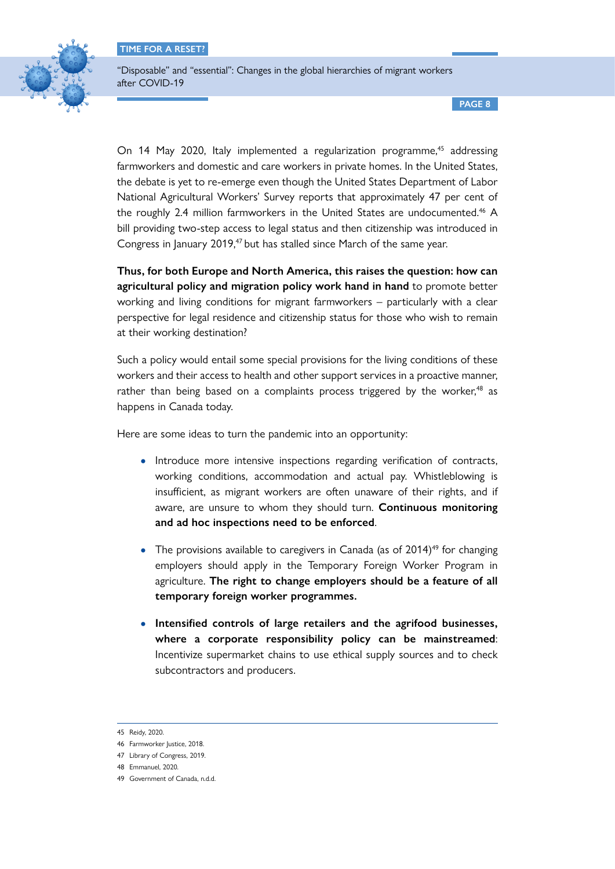

"Disposable" and "essential": Changes in the global hierarchies of migrant workers after COVID-19

**PAGE 8**

On 14 May 2020, Italy implemented a regularization programme,<sup>45</sup> addressing farmworkers and domestic and care workers in private homes. In the United States, the debate is yet to re-emerge even though the United States Department of Labor National Agricultural Workers' Survey reports that approximately 47 per cent of the roughly 2.4 million farmworkers in the United States are undocumented.<sup>46</sup> A bill providing two-step access to legal status and then citizenship was introduced in Congress in January 2019,<sup>47</sup> but has stalled since March of the same year.

**Thus, for both Europe and North America, this raises the question: how can agricultural policy and migration policy work hand in hand** to promote better working and living conditions for migrant farmworkers – particularly with a clear perspective for legal residence and citizenship status for those who wish to remain at their working destination?

Such a policy would entail some special provisions for the living conditions of these workers and their access to health and other support services in a proactive manner, rather than being based on a complaints process triggered by the worker,<sup>48</sup> as happens in Canada today.

Here are some ideas to turn the pandemic into an opportunity:

- Introduce more intensive inspections regarding verification of contracts, working conditions, accommodation and actual pay. Whistleblowing is insufficient, as migrant workers are often unaware of their rights, and if aware, are unsure to whom they should turn. **Continuous monitoring and ad hoc inspections need to be enforced**.
- The provisions available to caregivers in Canada (as of  $2014$ )<sup>49</sup> for changing employers should apply in the Temporary Foreign Worker Program in agriculture. **The right to change employers should be a feature of all temporary foreign worker programmes.**
- **Intensified controls of large retailers and the agrifood businesses, where a corporate responsibility policy can be mainstreamed**: Incentivize supermarket chains to use ethical supply sources and to check subcontractors and producers.

<sup>45</sup> Reidy, 2020.

<sup>46</sup> Farmworker Justice, 2018.

<sup>47</sup> Library of Congress, 2019.

<sup>48</sup> Emmanuel, 2020.

<sup>49</sup> Government of Canada, n.d.d.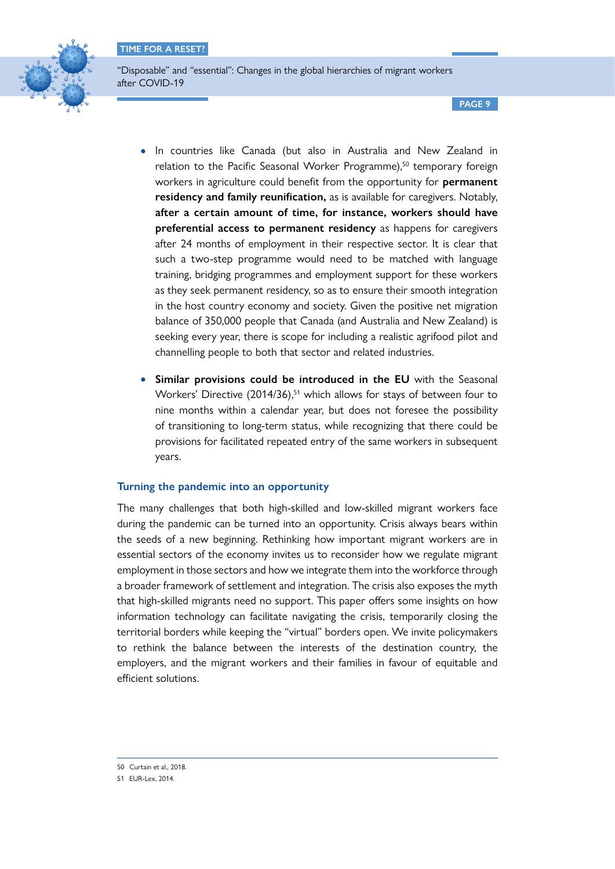

"Disposable" and "essential": Changes in the global hierarchies of migrant workers after COVID-19

**PAGE 9**

- In countries like Canada (but also in Australia and New Zealand in relation to the Pacific Seasonal Worker Programme),<sup>50</sup> temporary foreign workers in agriculture could benefit from the opportunity for **permanent residency and family reunification,** as is available for caregivers. Notably, **after a certain amount of time, for instance, workers should have preferential access to permanent residency** as happens for caregivers after 24 months of employment in their respective sector. It is clear that such a two-step programme would need to be matched with language training, bridging programmes and employment support for these workers as they seek permanent residency, so as to ensure their smooth integration in the host country economy and society. Given the positive net migration balance of 350,000 people that Canada (and Australia and New Zealand) is seeking every year, there is scope for including a realistic agrifood pilot and channelling people to both that sector and related industries.
- **Similar provisions could be introduced in the EU** with the Seasonal Workers' Directive (2014/36),<sup>51</sup> which allows for stays of between four to nine months within a calendar year, but does not foresee the possibility of transitioning to long-term status, while recognizing that there could be provisions for facilitated repeated entry of the same workers in subsequent years.

# **Turning the pandemic into an opportunity**

The many challenges that both high-skilled and low-skilled migrant workers face during the pandemic can be turned into an opportunity. Crisis always bears within the seeds of a new beginning. Rethinking how important migrant workers are in essential sectors of the economy invites us to reconsider how we regulate migrant employment in those sectors and how we integrate them into the workforce through a broader framework of settlement and integration. The crisis also exposes the myth that high-skilled migrants need no support. This paper offers some insights on how information technology can facilitate navigating the crisis, temporarily closing the territorial borders while keeping the "virtual" borders open. We invite policymakers to rethink the balance between the interests of the destination country, the employers, and the migrant workers and their families in favour of equitable and efficient solutions.

<sup>50</sup> Curtain et al., 2018.

<sup>51</sup> EUR-Lex, 2014.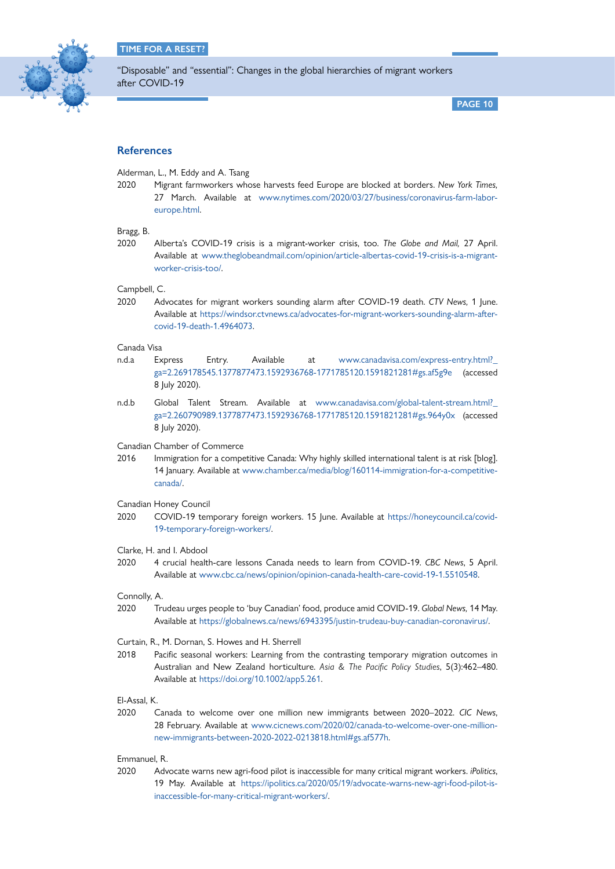

**PAGE 10**

# **References**

Alderman, L., M. Eddy and A. Tsang

2020 Migrant farmworkers whose harvests feed Europe are blocked at borders. *New York Times,*  27 March. Available at [www.nytimes.com/2020/03/27/business/coronavirus-farm-labor](http://www.nytimes.com/2020/03/27/business/coronavirus-farm-labor-europe.html)[europe.html](http://www.nytimes.com/2020/03/27/business/coronavirus-farm-labor-europe.html).

### Bragg, B.

2020 Alberta's COVID-19 crisis is a migrant-worker crisis, too. *The Globe and Mail,* 27 April. Available at [www.theglobeandmail.com/opinion/article-albertas-covid-19-crisis-is-a-migrant](http://www.theglobeandmail.com/opinion/article-albertas-covid-19-crisis-is-a-migrant-worker-crisis-too/)[worker-crisis-too/](http://www.theglobeandmail.com/opinion/article-albertas-covid-19-crisis-is-a-migrant-worker-crisis-too/).

Campbell, C.

2020 Advocates for migrant workers sounding alarm after COVID-19 death. *CTV News,* 1 June. Available at [https://windsor.ctvnews.ca/advocates-for-migrant-workers-sounding-alarm-after](https://windsor.ctvnews.ca/advocates-for-migrant-workers-sounding-alarm-after-covid-19-death-1.4964073)[covid-19-death-1.4964073.](https://windsor.ctvnews.ca/advocates-for-migrant-workers-sounding-alarm-after-covid-19-death-1.4964073)

# Canada Visa

- n.d.a Express Entry. Available at [www.canadavisa.com/express-entry.html?\\_](http://www.canadavisa.com/express-entry.html?_ga=2.269178545.1377877473.1592936768-1771785120.1591821281#gs) [ga=2.269178545.1377877473.1592936768-1771785120.1591821281#gs.af5g9e](http://www.canadavisa.com/express-entry.html?_ga=2.269178545.1377877473.1592936768-1771785120.1591821281#gs) (accessed 8 July 2020).
- n.d.b Global Talent Stream. Available at www.canadavisa.com/global-talent-stream.html? [ga=2.260790989.1377877473.1592936768-1771785120.1591821281#gs.964y0x](https://www.canadavisa.com/global-talent-stream.html?_ga=2.260790989.1377877473.1592936768-1771785120.1591821281#gs.964y0x) (accessed 8 July 2020).
- Canadian Chamber of Commerce
- 2016 Immigration for a competitive Canada: Why highly skilled international talent is at risk [blog]. 14 January. Available at [www.chamber.ca/media/blog/160114-immigration-for-a-competitive](http://www.chamber.ca/media/blog/160114-immigration-for-a-competitive-canada/)[canada/](http://www.chamber.ca/media/blog/160114-immigration-for-a-competitive-canada/).

#### Canadian Honey Council

2020 COVID-19 temporary foreign workers. 15 June. Available at [https://honeycouncil.ca/covid-](https://honeycouncil.ca/covid-19-temporary-foreign-workers/)[19-temporary-foreign-workers/.](https://honeycouncil.ca/covid-19-temporary-foreign-workers/)

#### Clarke, H. and I. Abdool

2020 4 crucial health-care lessons Canada needs to learn from COVID-19. *CBC News*, 5 April. Available at [www.cbc.ca/news/opinion/opinion-canada-health-care-covid-19-1.5510548.](http://www.cbc.ca/news/opinion/opinion-canada-health-care-covid-19-1.5510548)

Connolly, A.

2020 Trudeau urges people to 'buy Canadian' food, produce amid COVID-19. *Global News,* 14 May. Available at [https://globalnews.ca/news/6943395/justin-trudeau-buy-canadian-coronavirus/.](https://globalnews.ca/news/6943395/justin-trudeau-buy-canadian-coronavirus/)

#### Curtain, R., M. Dornan, S. Howes and H. Sherrell

2018 Pacific seasonal workers: Learning from the contrasting temporary migration outcomes in Australian and New Zealand horticulture. *Asia & The Pacific Policy Studies*, 5(3):462–480. Available at [https://doi.org/10.1002/app5.261.](https://doi.org/10.1002/app5.261)

El-Assal, K.

2020 Canada to welcome over one million new immigrants between 2020–2022. *CIC News*, 28 February. Available at [www.cicnews.com/2020/02/canada-to-welcome-over-one-million](https://www.cicnews.com/2020/02/canada-to-welcome-over-one-million-new-immigrants-between-2020-2022-0213818.html#gs.af577h)[new-immigrants-between-2020-2022-0213818.html#gs.af577h](https://www.cicnews.com/2020/02/canada-to-welcome-over-one-million-new-immigrants-between-2020-2022-0213818.html#gs.af577h).

#### Emmanuel, R.

2020 Advocate warns new agri-food pilot is inaccessible for many critical migrant workers. *iPolitics*, 19 May. Available at [https://ipolitics.ca/2020/05/19/advocate-warns-new-agri-food-pilot-is](https://ipolitics.ca/2020/05/19/advocate-warns-new-agri-food-pilot-is-inaccessible-for-many-critical-migrant-workers/)[inaccessible-for-many-critical-migrant-workers/.](https://ipolitics.ca/2020/05/19/advocate-warns-new-agri-food-pilot-is-inaccessible-for-many-critical-migrant-workers/)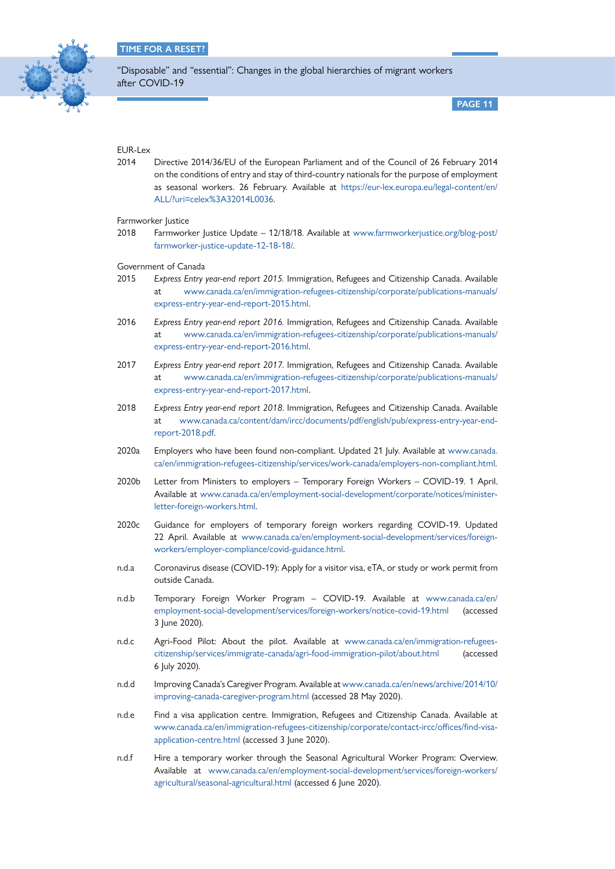

**PAGE 11**

# EUR-Lex

2014 Directive 2014/36/EU of the European Parliament and of the Council of 26 February 2014 on the conditions of entry and stay of third-country nationals for the purpose of employment as seasonal workers. 26 February. Available at [https://eur-lex.europa.eu/legal-content/en/](https://eur-lex.europa.eu/legal-content/en/ALL/?uri=celex%3A32014L0036) [ALL/?uri=celex%3A32014L0036.](https://eur-lex.europa.eu/legal-content/en/ALL/?uri=celex%3A32014L0036)

Farmworker Justice

2018 Farmworker Justice Update – 12/18/18. Available at [www.farmworkerjustice.org/blog-post/](https://www.farmworkerjustice.org/blog-post/farmworker-justice-update-12-18-18/) [farmworker-justice-update-12-18-18/.](https://www.farmworkerjustice.org/blog-post/farmworker-justice-update-12-18-18/)

Government of Canada

- 2015 *Express Entry year-end report 2015.* Immigration, Refugees and Citizenship Canada. Available at [www.canada.ca/en/immigration-refugees-citizenship/corporate/publications-manuals/](https://www.canada.ca/en/immigration-refugees-citizenship/corporate/publications-manuals/express-entry-year-end-report-2015.html) [express-entry-year-end-report-2015.html.](https://www.canada.ca/en/immigration-refugees-citizenship/corporate/publications-manuals/express-entry-year-end-report-2015.html)
- 2016 *Express Entry year-end report 2016.* Immigration, Refugees and Citizenship Canada. Available at [www.canada.ca/en/immigration-refugees-citizenship/corporate/publications-manuals/](http://www.canada.ca/en/immigration-refugees-citizenship/corporate/publications-manuals/express-entry-year-end-report-2016.html) [express-entry-year-end-report-2016.html.](http://www.canada.ca/en/immigration-refugees-citizenship/corporate/publications-manuals/express-entry-year-end-report-2016.html)
- 2017 *Express Entry year-end report 2017.* Immigration, Refugees and Citizenship Canada. Available at [www.canada.ca/en/immigration-refugees-citizenship/corporate/publications-manuals/](http://www.canada.ca/en/immigration-refugees-citizenship/corporate/publications-manuals/express-entry-year-end-report-2017.html) [express-entry-year-end-report-2017.html.](http://www.canada.ca/en/immigration-refugees-citizenship/corporate/publications-manuals/express-entry-year-end-report-2017.html)
- 2018 *Express Entry year-end report 2018*. Immigration, Refugees and Citizenship Canada. Available at [www.canada.ca/content/dam/ircc/documents/pdf/english/pub/express-entry-year-end](http://www.canada.ca/content/dam/ircc/documents/pdf/english/pub/express-entry-year-end-report-2018.pdf)[report-2018.pdf](http://www.canada.ca/content/dam/ircc/documents/pdf/english/pub/express-entry-year-end-report-2018.pdf).
- 2020a Employers who have been found non-compliant. Updated 21 July. Available at [www.canada.](http://www.canada.ca/en/immigration-refugees-citizenship/services/work-canada/employers-non-compliant.html) [ca/en/immigration-refugees-citizenship/services/work-canada/employers-non-compliant.html.](http://www.canada.ca/en/immigration-refugees-citizenship/services/work-canada/employers-non-compliant.html)
- 2020b Letter from Ministers to employers Temporary Foreign Workers COVID-19. 1 April. Available at [www.canada.ca/en/employment-social-development/corporate/notices/minister](https://www.canada.ca/en/employment-social-development/corporate/notices/minister-letter-foreign-workers.html)[letter-foreign-workers.html](https://www.canada.ca/en/employment-social-development/corporate/notices/minister-letter-foreign-workers.html).
- 2020c Guidance for employers of temporary foreign workers regarding COVID-19. Updated 22 April. Available at [www.canada.ca/en/employment-social-development/services/foreign](http://www.canada.ca/en/employment-social-development/services/foreign-workers/employer-compliance/covid-guidance.html)[workers/employer-compliance/covid-guidance.html](http://www.canada.ca/en/employment-social-development/services/foreign-workers/employer-compliance/covid-guidance.html).
- n.d.a Coronavirus disease (COVID-19): Apply for a visitor visa, eTA, or study or work permit from outside Canada.
- n.d.b Temporary Foreign Worker Program COVID-19. Available at [www.canada.ca/en/](https://www.canada.ca/en/employment-social-development/services/foreign-workers/notice-covid-19.html) [employment-social-development/services/foreign-workers/notice-covid-19.html](https://www.canada.ca/en/employment-social-development/services/foreign-workers/notice-covid-19.html) (accessed 3 June 2020).
- n.d.c Agri-Food Pilot: About the pilot. Available at [www.canada.ca/en/immigration-refugees](https://www.canada.ca/en/immigration-refugees-citizenship/services/immigrate-canada/agri-food-immigration-pilot/about.html)[citizenship/services/immigrate-canada/agri-food-immigration-pilot/about.html](https://www.canada.ca/en/immigration-refugees-citizenship/services/immigrate-canada/agri-food-immigration-pilot/about.html) (accessed 6 July 2020).
- n.d.d Improving Canada's Caregiver Program. Available at [www.canada.ca/en/news/archive/2014/10/](https://www.canada.ca/en/news/archive/2014/10/improving-canada-caregiver-program.html) [improving-canada-caregiver-program.html](https://www.canada.ca/en/news/archive/2014/10/improving-canada-caregiver-program.html) (accessed 28 May 2020).
- n.d.e Find a visa application centre. Immigration, Refugees and Citizenship Canada. Available at [www.canada.ca/en/immigration-refugees-citizenship/corporate/contact-ircc/offices/find-visa](https://www.canada.ca/en/immigration-refugees-citizenship/corporate/contact-ircc/offices/find-visa-application-centre.html)[application-centre.html](https://www.canada.ca/en/immigration-refugees-citizenship/corporate/contact-ircc/offices/find-visa-application-centre.html) (accessed 3 June 2020).
- n.d.f Hire a temporary worker through the Seasonal Agricultural Worker Program: Overview. Available at [www.canada.ca/en/employment-social-development/services/foreign-workers/](https://www.canada.ca/en/employment-social-development/services/foreign-workers/agricultural/seasonal-agricultural.html) [agricultural/seasonal-agricultural.html](https://www.canada.ca/en/employment-social-development/services/foreign-workers/agricultural/seasonal-agricultural.html) (accessed 6 June 2020).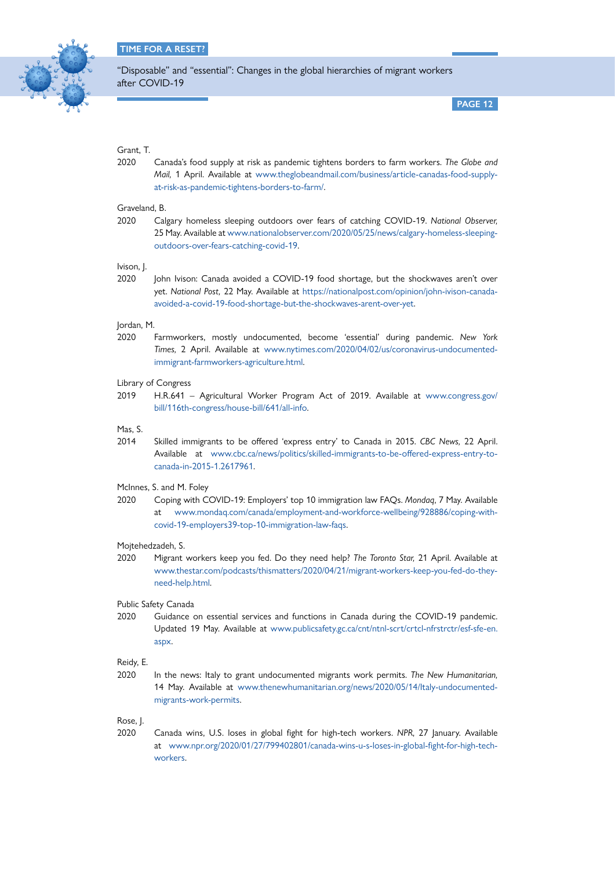

**PAGE 12**

# Grant, T.

2020 Canada's food supply at risk as pandemic tightens borders to farm workers. *The Globe and Mail,* 1 April. Available at [www.theglobeandmail.com/business/article-canadas-food-supply](https://www.theglobeandmail.com/business/article-canadas-food-supply-at-risk-as-pandemic-tightens-borders-to-farm/)[at-risk-as-pandemic-tightens-borders-to-farm/](https://www.theglobeandmail.com/business/article-canadas-food-supply-at-risk-as-pandemic-tightens-borders-to-farm/).

# Graveland, B.

2020 Calgary homeless sleeping outdoors over fears of catching COVID-19. *National Observer,* 25 May. Available at [www.nationalobserver.com/2020/05/25/news/calgary-homeless-sleeping](https://www.nationalobserver.com/2020/05/25/news/calgary-homeless-sleeping-outdoors-over-fears-catching-covid-19)[outdoors-over-fears-catching-covid-19](https://www.nationalobserver.com/2020/05/25/news/calgary-homeless-sleeping-outdoors-over-fears-catching-covid-19).

# Ivison, J.

2020 John Ivison: Canada avoided a COVID-19 food shortage, but the shockwaves aren't over yet. *National Post,* 22 May. Available at [https://nationalpost.com/opinion/john-ivison-canada](https://nationalpost.com/opinion/john-ivison-canada-avoided-a-covid-19-food-shortage-but-the-shockwaves-arent-over-yet)[avoided-a-covid-19-food-shortage-but-the-shockwaves-arent-over-yet.](https://nationalpost.com/opinion/john-ivison-canada-avoided-a-covid-19-food-shortage-but-the-shockwaves-arent-over-yet)

#### Jordan, M.

2020 Farmworkers, mostly undocumented, become 'essential' during pandemic. *New York Times,* 2 April. Available at [www.nytimes.com/2020/04/02/us/coronavirus-undocumented](https://www.nytimes.com/2020/04/02/us/coronavirus-undocumented-immigrant-farmworkers-agriculture.html)[immigrant-farmworkers-agriculture.html](https://www.nytimes.com/2020/04/02/us/coronavirus-undocumented-immigrant-farmworkers-agriculture.html).

# Library of Congress

2019 H.R.641 – Agricultural Worker Program Act of 2019. Available at [www.congress.gov/](https://www.congress.gov/bill/116th-congress/house-bill/641/all-info) [bill/116th-congress/house-bill/641/all-info](https://www.congress.gov/bill/116th-congress/house-bill/641/all-info).

Mas, S.

2014 Skilled immigrants to be offered 'express entry' to Canada in 2015. *CBC News,* 22 April. Available at [www.cbc.ca/news/politics/skilled-immigrants-to-be-offered-express-entry-to](https://www.cbc.ca/news/politics/skilled-immigrants-to-be-offered-express-entry-to-canada-in-2015-1.2617961)[canada-in-2015-1.2617961](https://www.cbc.ca/news/politics/skilled-immigrants-to-be-offered-express-entry-to-canada-in-2015-1.2617961).

#### McInnes, S. and M. Foley

2020 Coping with COVID-19: Employers' top 10 immigration law FAQs. *Mondaq*, 7 May. Available at [www.mondaq.com/canada/employment-and-workforce-wellbeing/928886/coping-with](http://www.mondaq.com/canada/employment-and-workforce-wellbeing/928886/coping-with-covid-19-employers39-top-10-immigration-law-faqs)[covid-19-employers39-top-10-immigration-law-faqs](http://www.mondaq.com/canada/employment-and-workforce-wellbeing/928886/coping-with-covid-19-employers39-top-10-immigration-law-faqs).

# Mojtehedzadeh, S.

2020 Migrant workers keep you fed. Do they need help? *The Toronto Star,* 21 April. Available at [www.thestar.com/podcasts/thismatters/2020/04/21/migrant-workers-keep-you-fed-do-they](https://www.thestar.com/podcasts/thismatters/2020/04/21/migrant-workers-keep-you-fed-do-they-need-help.html)[need-help.html](https://www.thestar.com/podcasts/thismatters/2020/04/21/migrant-workers-keep-you-fed-do-they-need-help.html).

#### Public Safety Canada

2020 Guidance on essential services and functions in Canada during the COVID-19 pandemic. Updated 19 May. Available at [www.publicsafety.gc.ca/cnt/ntnl-scrt/crtcl-nfrstrctr/esf-sfe-en.](https://www.publicsafety.gc.ca/cnt/ntnl-scrt/crtcl-nfrstrctr/esf-sfe-en.aspx) [aspx.](https://www.publicsafety.gc.ca/cnt/ntnl-scrt/crtcl-nfrstrctr/esf-sfe-en.aspx)

#### Reidy, E.

2020 In the news: Italy to grant undocumented migrants work permits. *The New Humanitarian,*  14 May. Available at [www.thenewhumanitarian.org/news/2020/05/14/Italy-undocumented](https://www.thenewhumanitarian.org/news/2020/05/14/Italy-undocumented-migrants-work-permits)[migrants-work-permits](https://www.thenewhumanitarian.org/news/2020/05/14/Italy-undocumented-migrants-work-permits).

Rose, J.

2020 Canada wins, U.S. loses in global fight for high-tech workers. *NPR*, 27 January. Available at [www.npr.org/2020/01/27/799402801/canada-wins-u-s-loses-in-global-fight-for-high-tech](https://www.npr.org/2020/01/27/799402801/canada-wins-u-s-loses-in-global-fight-for-high-tech-workers)[workers](https://www.npr.org/2020/01/27/799402801/canada-wins-u-s-loses-in-global-fight-for-high-tech-workers).